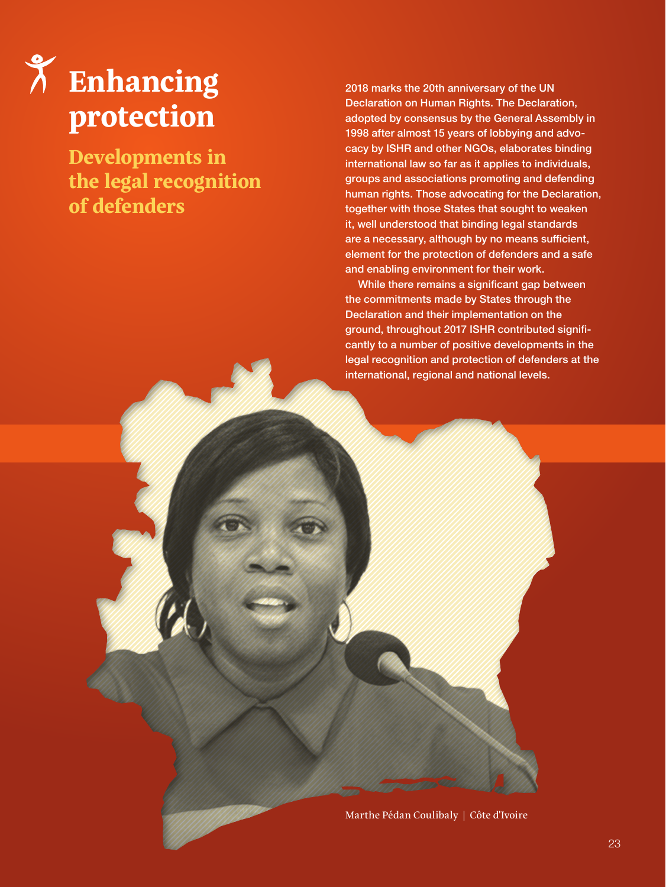# **Enhancing protection**

**Developments in the legal recognition of defenders**

2018 marks the 20th anniversary of the UN Declaration on Human Rights. The Declaration, adopted by consensus by the General Assembly in 1998 after almost 15 years of lobbying and advocacy by ISHR and other NGOs, elaborates binding international law so far as it applies to individuals, groups and associations promoting and defending human rights. Those advocating for the Declaration, together with those States that sought to weaken it, well understood that binding legal standards are a necessary, although by no means sufficient, element for the protection of defenders and a safe and enabling environment for their work.

While there remains a significant gap between the commitments made by States through the Declaration and their implementation on the ground, throughout 2017 ISHR contributed significantly to a number of positive developments in the legal recognition and protection of defenders at the international, regional and national levels.

Marthe Pédan Coulibaly | Côte d'Ivoire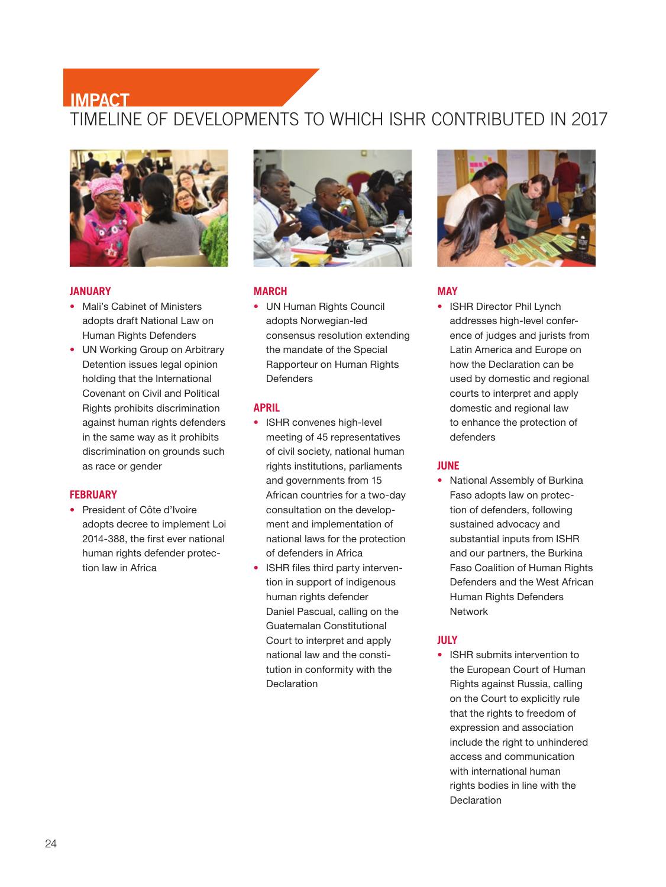## TIMELINE OF DEVELOPMENTS TO WHICH ISHR CONTRIBUTED IN 2017 **IMPACT**



#### **JANUARY**

- Mali's Cabinet of Ministers adopts draft National Law on Human Rights Defenders
- UN Working Group on Arbitrary Detention issues legal opinion holding that the International Covenant on Civil and Political Rights prohibits discrimination against human rights defenders in the same way as it prohibits discrimination on grounds such as race or gender

#### **FEBRUARY**

 President of Côte d'Ivoire adopts decree to implement Loi 2014-388, the first ever national human rights defender protection law in Africa



#### **MARCH**

 UN Human Rights Council adopts Norwegian-led consensus resolution extending the mandate of the Special Rapporteur on Human Rights Defenders

#### **APRIL**

- ISHR convenes high-level meeting of 45 representatives of civil society, national human rights institutions, parliaments and governments from 15 African countries for a two-day consultation on the development and implementation of national laws for the protection of defenders in Africa
- ISHR files third party intervention in support of indigenous human rights defender Daniel Pascual, calling on the Guatemalan Constitutional Court to interpret and apply national law and the constitution in conformity with the **Declaration**



#### **MAY**

• ISHR Director Phil Lynch addresses high-level conference of judges and jurists from Latin America and Europe on how the Declaration can be used by domestic and regional courts to interpret and apply domestic and regional law to enhance the protection of defenders

#### **JUNE**

• National Assembly of Burkina Faso adopts law on protection of defenders, following sustained advocacy and substantial inputs from ISHR and our partners, the Burkina Faso Coalition of Human Rights Defenders and the West African Human Rights Defenders Network

#### **JULY**

• ISHR submits intervention to the European Court of Human Rights against Russia, calling on the Court to explicitly rule that the rights to freedom of expression and association include the right to unhindered access and communication with international human rights bodies in line with the Declaration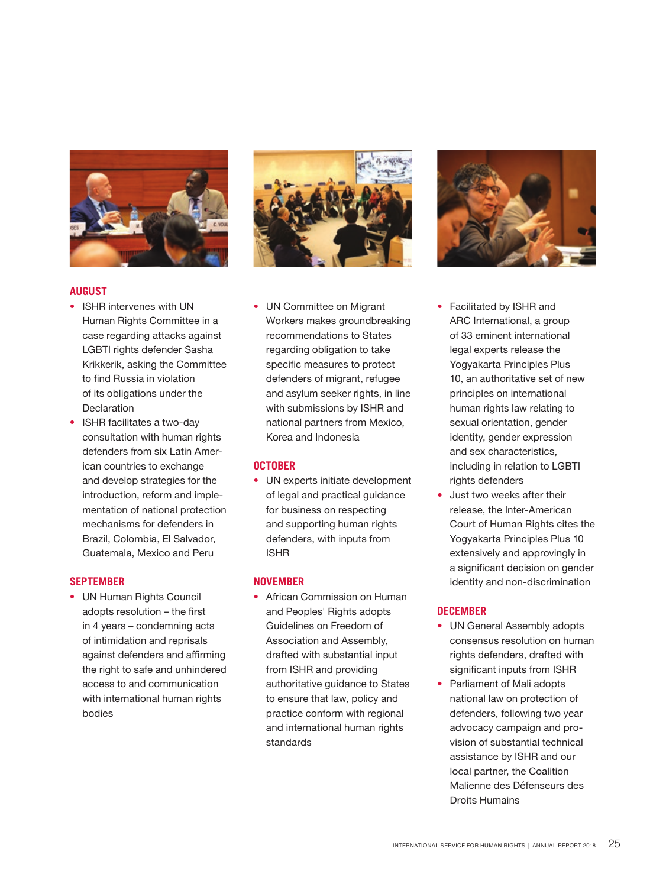

#### **AUGUST**

- ISHR intervenes with UN Human Rights Committee in a case regarding attacks against LGBTI rights defender Sasha Krikkerik, asking the Committee to find Russia in violation of its obligations under the Declaration
- ISHR facilitates a two-day consultation with human rights defenders from six Latin American countries to exchange and develop strategies for the introduction, reform and implementation of national protection mechanisms for defenders in Brazil, Colombia, El Salvador, Guatemala, Mexico and Peru

#### **SEPTEMBER**

 UN Human Rights Council adopts resolution – the first in 4 years – condemning acts of intimidation and reprisals against defenders and affirming the right to safe and unhindered access to and communication with international human rights bodies



 UN Committee on Migrant Workers makes groundbreaking recommendations to States regarding obligation to take specific measures to protect defenders of migrant, refugee and asylum seeker rights, in line with submissions by ISHR and national partners from Mexico, Korea and Indonesia

#### **OCTOBER**

 UN experts initiate development of legal and practical guidance for business on respecting and supporting human rights defenders, with inputs from ISHR

#### **NOVEMBER**

• African Commission on Human and Peoples' Rights adopts Guidelines on Freedom of Association and Assembly, drafted with substantial input from ISHR and providing authoritative guidance to States to ensure that law, policy and practice conform with regional and international human rights standards



- Facilitated by ISHR and ARC International, a group of 33 eminent international legal experts release the Yogyakarta Principles Plus 10, an authoritative set of new principles on international human rights law relating to sexual orientation, gender identity, gender expression and sex characteristics, including in relation to LGBTI rights defenders
- Just two weeks after their release, the Inter-American Court of Human Rights cites the Yogyakarta Principles Plus 10 extensively and approvingly in a significant decision on gender identity and non-discrimination

#### **DECEMBER**

- UN General Assembly adopts consensus resolution on human rights defenders, drafted with significant inputs from ISHR
- Parliament of Mali adopts national law on protection of defenders, following two year advocacy campaign and provision of substantial technical assistance by ISHR and our local partner, the Coalition Malienne des Défenseurs des Droits Humains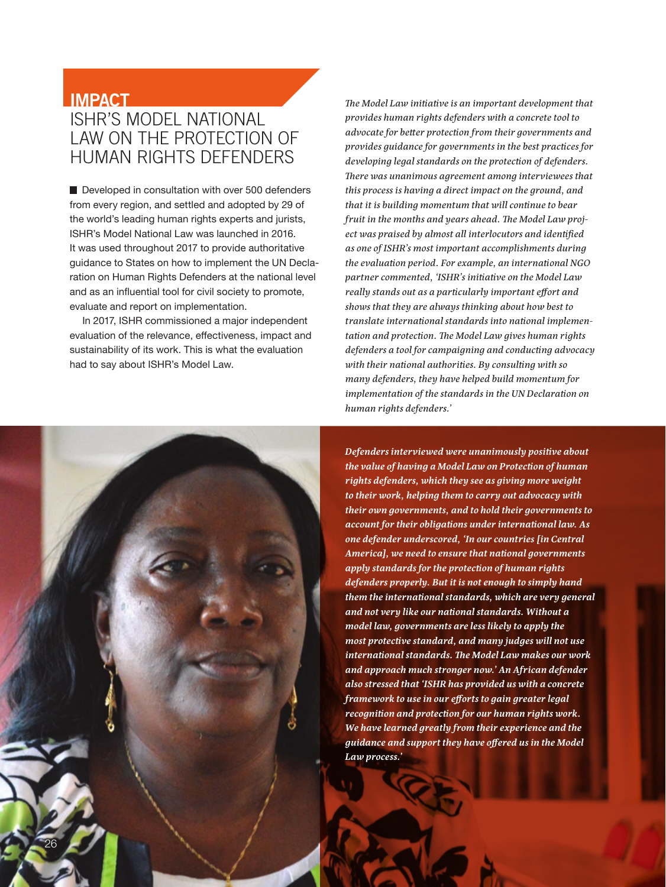### **IMPACT**

26

## ISHR'S MODEL NATIONAL LAW ON THE PROTECTION OF HUMAN RIGHTS DEFENDERS

Developed in consultation with over 500 defenders from every region, and settled and adopted by 29 of the world's leading human rights experts and jurists, ISHR's Model National Law was launched in 2016. It was used throughout 2017 to provide authoritative guidance to States on how to implement the UN Declaration on Human Rights Defenders at the national level and as an influential tool for civil society to promote, evaluate and report on implementation.

In 2017, ISHR commissioned a major independent evaluation of the relevance, effectiveness, impact and sustainability of its work. This is what the evaluation had to say about ISHR's Model Law.

*human rights defenders.' Law process.'*

*The Model Law initiative is an important development that provides human rights defenders with a concrete tool to advocate for better protection from their governments and provides guidance for governments in the best practices for developing legal standards on the protection of defenders. There was unanimous agreement among interviewees that this process is having a direct impact on the ground, and that it is building momentum that will continue to bear fruit in the months and years ahead. The Model Law project was praised by almost all interlocutors and identified as one of ISHR's most important accomplishments during the evaluation period. For example, an international NGO partner commented, 'ISHR's initiative on the Model Law really stands out as a particularly important effort and shows that they are always thinking about how best to translate international standards into national implementation and protection. The Model Law gives human rights defenders a tool for campaigning and conducting advocacy with their national authorities. By consulting with so many defenders, they have helped build momentum for implementation of the standards in the UN Declaration on* 

*Defenders interviewed were unanimously positive about the value of having a Model Law on Protection of human rights defenders, which they see as giving more weight to their work, helping them to carry out advocacy with their own governments, and to hold their governments to account for their obligations under international law. As one defender underscored, 'In our countries [in Central America], we need to ensure that national governments apply standards for the protection of human rights defenders properly. But it is not enough to simply hand them the international standards, which are very general and not very like our national standards. Without a model law, governments are less likely to apply the most protective standard, and many judges will not use international standards. The Model Law makes our work and approach much stronger now.' An African defender also stressed that 'ISHR has provided us with a concrete framework to use in our efforts to gain greater legal recognition and protection for our human rights work. We have learned greatly from their experience and the guidance and support they have offered us in the Model*